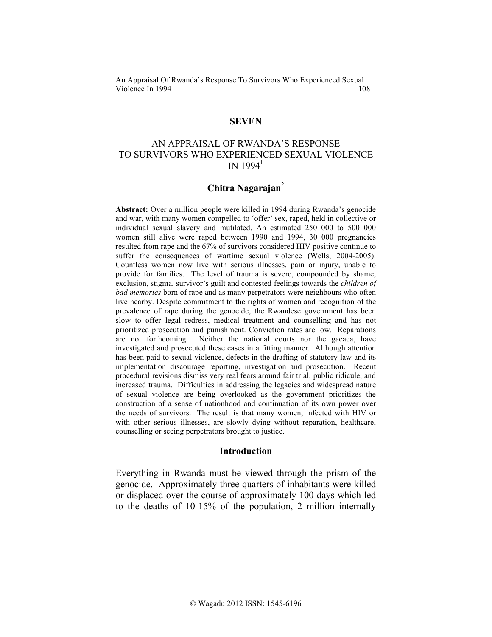### **SEVEN**

# AN APPRAISAL OF RWANDA'S RESPONSE TO SURVIVORS WHO EXPERIENCED SEXUAL VIOLENCE IN  $1994^1$

## **Chitra Nagarajan**<sup>2</sup>

**Abstract:** Over a million people were killed in 1994 during Rwanda's genocide and war, with many women compelled to 'offer' sex, raped, held in collective or individual sexual slavery and mutilated. An estimated 250 000 to 500 000 women still alive were raped between 1990 and 1994, 30 000 pregnancies resulted from rape and the 67% of survivors considered HIV positive continue to suffer the consequences of wartime sexual violence (Wells, 2004-2005). Countless women now live with serious illnesses, pain or injury, unable to provide for families. The level of trauma is severe, compounded by shame, exclusion, stigma, survivor's guilt and contested feelings towards the *children of bad memories* born of rape and as many perpetrators were neighbours who often live nearby. Despite commitment to the rights of women and recognition of the prevalence of rape during the genocide, the Rwandese government has been slow to offer legal redress, medical treatment and counselling and has not prioritized prosecution and punishment. Conviction rates are low. Reparations are not forthcoming. Neither the national courts nor the gacaca, have investigated and prosecuted these cases in a fitting manner. Although attention has been paid to sexual violence, defects in the drafting of statutory law and its implementation discourage reporting, investigation and prosecution. Recent procedural revisions dismiss very real fears around fair trial, public ridicule, and increased trauma. Difficulties in addressing the legacies and widespread nature of sexual violence are being overlooked as the government prioritizes the construction of a sense of nationhood and continuation of its own power over the needs of survivors. The result is that many women, infected with HIV or with other serious illnesses, are slowly dying without reparation, healthcare, counselling or seeing perpetrators brought to justice.

#### **Introduction**

Everything in Rwanda must be viewed through the prism of the genocide. Approximately three quarters of inhabitants were killed or displaced over the course of approximately 100 days which led to the deaths of 10-15% of the population, 2 million internally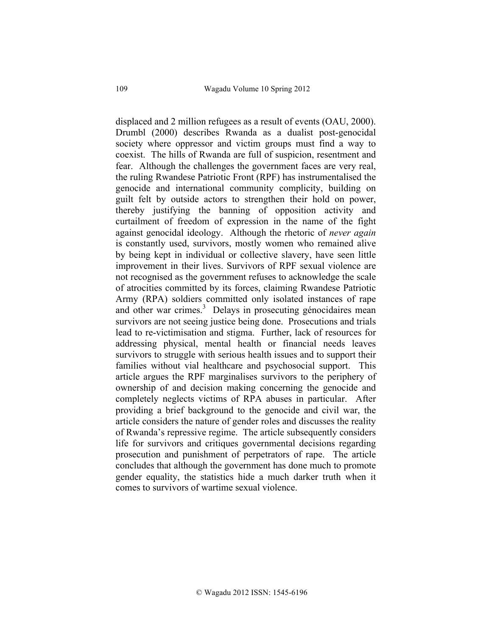displaced and 2 million refugees as a result of events (OAU, 2000). Drumbl (2000) describes Rwanda as a dualist post-genocidal society where oppressor and victim groups must find a way to coexist. The hills of Rwanda are full of suspicion, resentment and fear. Although the challenges the government faces are very real, the ruling Rwandese Patriotic Front (RPF) has instrumentalised the genocide and international community complicity, building on guilt felt by outside actors to strengthen their hold on power, thereby justifying the banning of opposition activity and curtailment of freedom of expression in the name of the fight against genocidal ideology. Although the rhetoric of *never again* is constantly used, survivors, mostly women who remained alive by being kept in individual or collective slavery, have seen little improvement in their lives. Survivors of RPF sexual violence are not recognised as the government refuses to acknowledge the scale of atrocities committed by its forces, claiming Rwandese Patriotic Army (RPA) soldiers committed only isolated instances of rape and other war crimes.<sup>3</sup> Delays in prosecuting génocidaires mean survivors are not seeing justice being done. Prosecutions and trials lead to re-victimisation and stigma. Further, lack of resources for addressing physical, mental health or financial needs leaves survivors to struggle with serious health issues and to support their families without vial healthcare and psychosocial support. This article argues the RPF marginalises survivors to the periphery of ownership of and decision making concerning the genocide and completely neglects victims of RPA abuses in particular. After providing a brief background to the genocide and civil war, the article considers the nature of gender roles and discusses the reality of Rwanda's repressive regime. The article subsequently considers life for survivors and critiques governmental decisions regarding prosecution and punishment of perpetrators of rape. The article concludes that although the government has done much to promote gender equality, the statistics hide a much darker truth when it comes to survivors of wartime sexual violence.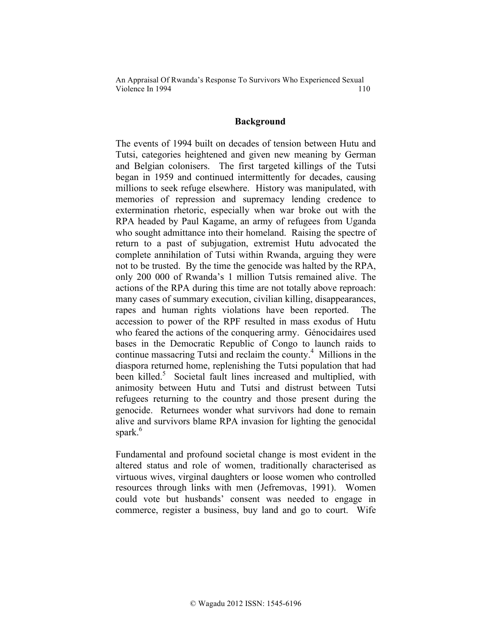### **Background**

The events of 1994 built on decades of tension between Hutu and Tutsi, categories heightened and given new meaning by German and Belgian colonisers. The first targeted killings of the Tutsi began in 1959 and continued intermittently for decades, causing millions to seek refuge elsewhere. History was manipulated, with memories of repression and supremacy lending credence to extermination rhetoric, especially when war broke out with the RPA headed by Paul Kagame, an army of refugees from Uganda who sought admittance into their homeland. Raising the spectre of return to a past of subjugation, extremist Hutu advocated the complete annihilation of Tutsi within Rwanda, arguing they were not to be trusted. By the time the genocide was halted by the RPA, only 200 000 of Rwanda's 1 million Tutsis remained alive. The actions of the RPA during this time are not totally above reproach: many cases of summary execution, civilian killing, disappearances, rapes and human rights violations have been reported. The accession to power of the RPF resulted in mass exodus of Hutu who feared the actions of the conquering army. Génocidaires used bases in the Democratic Republic of Congo to launch raids to continue massacring Tutsi and reclaim the county.<sup>4</sup> Millions in the diaspora returned home, replenishing the Tutsi population that had been killed.<sup>5</sup> Societal fault lines increased and multiplied, with animosity between Hutu and Tutsi and distrust between Tutsi refugees returning to the country and those present during the genocide. Returnees wonder what survivors had done to remain alive and survivors blame RPA invasion for lighting the genocidal spark.<sup>6</sup>

Fundamental and profound societal change is most evident in the altered status and role of women, traditionally characterised as virtuous wives, virginal daughters or loose women who controlled resources through links with men (Jefremovas, 1991). Women could vote but husbands' consent was needed to engage in commerce, register a business, buy land and go to court. Wife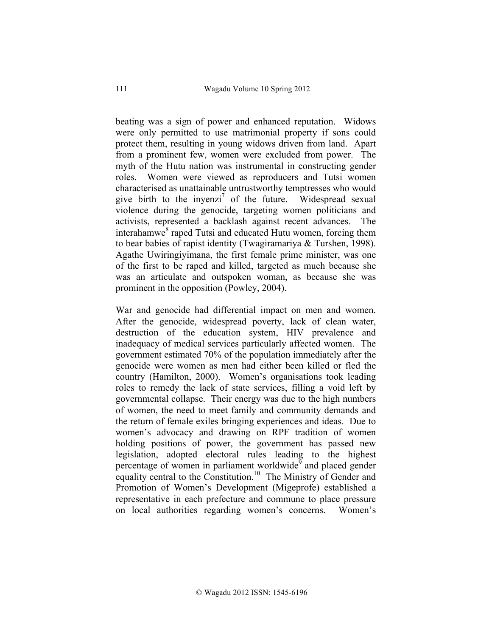beating was a sign of power and enhanced reputation. Widows were only permitted to use matrimonial property if sons could protect them, resulting in young widows driven from land. Apart from a prominent few, women were excluded from power. The myth of the Hutu nation was instrumental in constructing gender roles. Women were viewed as reproducers and Tutsi women characterised as unattainable untrustworthy temptresses who would give birth to the invenzi<sup>7</sup> of the future. Widespread sexual violence during the genocide, targeting women politicians and activists, represented a backlash against recent advances. The interahamwe<sup>8</sup> raped Tutsi and educated Hutu women, forcing them to bear babies of rapist identity (Twagiramariya & Turshen, 1998). Agathe Uwiringiyimana, the first female prime minister, was one of the first to be raped and killed, targeted as much because she was an articulate and outspoken woman, as because she was prominent in the opposition (Powley, 2004).

War and genocide had differential impact on men and women. After the genocide, widespread poverty, lack of clean water, destruction of the education system, HIV prevalence and inadequacy of medical services particularly affected women. The government estimated 70% of the population immediately after the genocide were women as men had either been killed or fled the country (Hamilton, 2000). Women's organisations took leading roles to remedy the lack of state services, filling a void left by governmental collapse. Their energy was due to the high numbers of women, the need to meet family and community demands and the return of female exiles bringing experiences and ideas. Due to women's advocacy and drawing on RPF tradition of women holding positions of power, the government has passed new legislation, adopted electoral rules leading to the highest percentage of women in parliament worldwide<sup>9</sup> and placed gender equality central to the Constitution.<sup>10</sup> The Ministry of Gender and Promotion of Women's Development (Migeprofe) established a representative in each prefecture and commune to place pressure on local authorities regarding women's concerns. Women's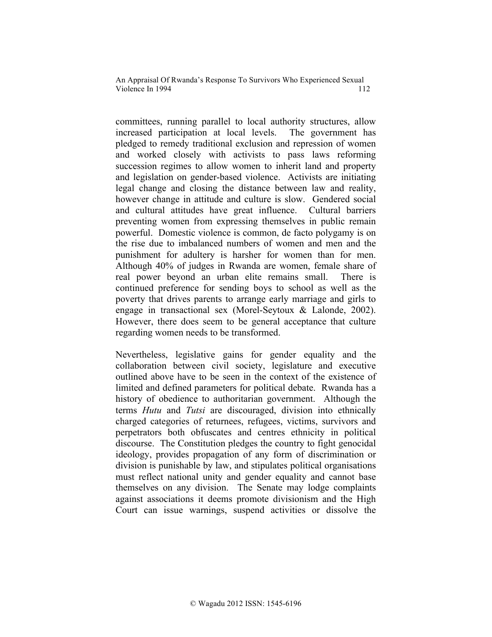committees, running parallel to local authority structures, allow increased participation at local levels. The government has pledged to remedy traditional exclusion and repression of women and worked closely with activists to pass laws reforming succession regimes to allow women to inherit land and property and legislation on gender-based violence. Activists are initiating legal change and closing the distance between law and reality, however change in attitude and culture is slow. Gendered social and cultural attitudes have great influence. Cultural barriers preventing women from expressing themselves in public remain powerful. Domestic violence is common, de facto polygamy is on the rise due to imbalanced numbers of women and men and the punishment for adultery is harsher for women than for men. Although 40% of judges in Rwanda are women, female share of real power beyond an urban elite remains small. There is continued preference for sending boys to school as well as the poverty that drives parents to arrange early marriage and girls to engage in transactional sex (Morel-Seytoux & Lalonde, 2002). However, there does seem to be general acceptance that culture regarding women needs to be transformed.

Nevertheless, legislative gains for gender equality and the collaboration between civil society, legislature and executive outlined above have to be seen in the context of the existence of limited and defined parameters for political debate.Rwanda has a history of obedience to authoritarian government. Although the terms *Hutu* and *Tutsi* are discouraged, division into ethnically charged categories of returnees, refugees, victims, survivors and perpetrators both obfuscates and centres ethnicity in political discourse. The Constitution pledges the country to fight genocidal ideology, provides propagation of any form of discrimination or division is punishable by law, and stipulates political organisations must reflect national unity and gender equality and cannot base themselves on any division. The Senate may lodge complaints against associations it deems promote divisionism and the High Court can issue warnings, suspend activities or dissolve the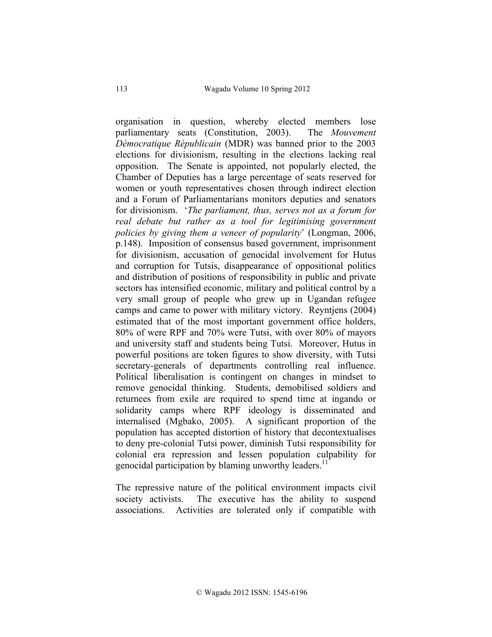organisation in question, whereby elected members lose parliamentary seats (Constitution, 2003). The *Mouvement Démocratique Républicain* (MDR) was banned prior to the 2003 elections for divisionism, resulting in the elections lacking real opposition. The Senate is appointed, not popularly elected, the Chamber of Deputies has a large percentage of seats reserved for women or youth representatives chosen through indirect election and a Forum of Parliamentarians monitors deputies and senators for divisionism. '*The parliament, thus, serves not as a forum for real debate but rather as a tool for legitimising government policies by giving them a veneer of popularity*' (Longman, 2006, p.148). Imposition of consensus based government, imprisonment for divisionism, accusation of genocidal involvement for Hutus and corruption for Tutsis, disappearance of oppositional politics and distribution of positions of responsibility in public and private sectors has intensified economic, military and political control by a very small group of people who grew up in Ugandan refugee camps and came to power with military victory. Reyntjens (2004) estimated that of the most important government office holders, 80% of were RPF and 70% were Tutsi, with over 80% of mayors and university staff and students being Tutsi. Moreover, Hutus in powerful positions are token figures to show diversity, with Tutsi secretary-generals of departments controlling real influence. Political liberalisation is contingent on changes in mindset to remove genocidal thinking. Students, demobilised soldiers and returnees from exile are required to spend time at ingando or solidarity camps where RPF ideology is disseminated and internalised (Mgbako, 2005). A significant proportion of the population has accepted distortion of history that decontextualises to deny pre-colonial Tutsi power, diminish Tutsi responsibility for colonial era repression and lessen population culpability for genocidal participation by blaming unworthy leaders.<sup>11</sup>

The repressive nature of the political environment impacts civil society activists. The executive has the ability to suspend associations. Activities are tolerated only if compatible with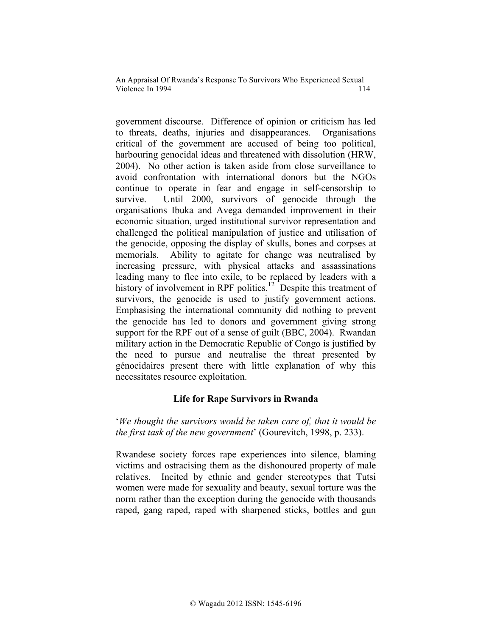government discourse. Difference of opinion or criticism has led to threats, deaths, injuries and disappearances. Organisations critical of the government are accused of being too political, harbouring genocidal ideas and threatened with dissolution (HRW, 2004). No other action is taken aside from close surveillance to avoid confrontation with international donors but the NGOs continue to operate in fear and engage in self-censorship to survive. Until 2000, survivors of genocide through the organisations Ibuka and Avega demanded improvement in their economic situation, urged institutional survivor representation and challenged the political manipulation of justice and utilisation of the genocide, opposing the display of skulls, bones and corpses at memorials. Ability to agitate for change was neutralised by increasing pressure, with physical attacks and assassinations leading many to flee into exile, to be replaced by leaders with a history of involvement in RPF politics.<sup>12</sup> Despite this treatment of survivors, the genocide is used to justify government actions. Emphasising the international community did nothing to prevent the genocide has led to donors and government giving strong support for the RPF out of a sense of guilt (BBC, 2004). Rwandan military action in the Democratic Republic of Congo is justified by the need to pursue and neutralise the threat presented by génocidaires present there with little explanation of why this necessitates resource exploitation.

# **Life for Rape Survivors in Rwanda**

'*We thought the survivors would be taken care of, that it would be the first task of the new government*' (Gourevitch, 1998, p. 233).

Rwandese society forces rape experiences into silence, blaming victims and ostracising them as the dishonoured property of male relatives. Incited by ethnic and gender stereotypes that Tutsi women were made for sexuality and beauty, sexual torture was the norm rather than the exception during the genocide with thousands raped, gang raped, raped with sharpened sticks, bottles and gun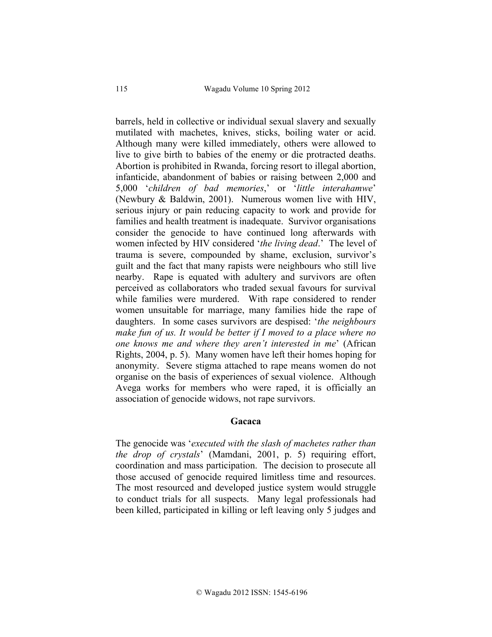barrels, held in collective or individual sexual slavery and sexually mutilated with machetes, knives, sticks, boiling water or acid. Although many were killed immediately, others were allowed to live to give birth to babies of the enemy or die protracted deaths. Abortion is prohibited in Rwanda, forcing resort to illegal abortion, infanticide, abandonment of babies or raising between 2,000 and 5,000 '*children of bad memories*,' or '*little interahamwe*' (Newbury & Baldwin, 2001). Numerous women live with HIV, serious injury or pain reducing capacity to work and provide for families and health treatment is inadequate. Survivor organisations consider the genocide to have continued long afterwards with women infected by HIV considered '*the living dead*.' The level of trauma is severe, compounded by shame, exclusion, survivor's guilt and the fact that many rapists were neighbours who still live nearby. Rape is equated with adultery and survivors are often perceived as collaborators who traded sexual favours for survival while families were murdered. With rape considered to render women unsuitable for marriage, many families hide the rape of daughters. In some cases survivors are despised: '*the neighbours make fun of us. It would be better if I moved to a place where no one knows me and where they aren't interested in me*' (African Rights, 2004, p. 5). Many women have left their homes hoping for anonymity. Severe stigma attached to rape means women do not organise on the basis of experiences of sexual violence. Although Avega works for members who were raped, it is officially an association of genocide widows, not rape survivors.

## **Gacaca**

The genocide was '*executed with the slash of machetes rather than the drop of crystals*' (Mamdani, 2001, p. 5) requiring effort, coordination and mass participation. The decision to prosecute all those accused of genocide required limitless time and resources. The most resourced and developed justice system would struggle to conduct trials for all suspects. Many legal professionals had been killed, participated in killing or left leaving only 5 judges and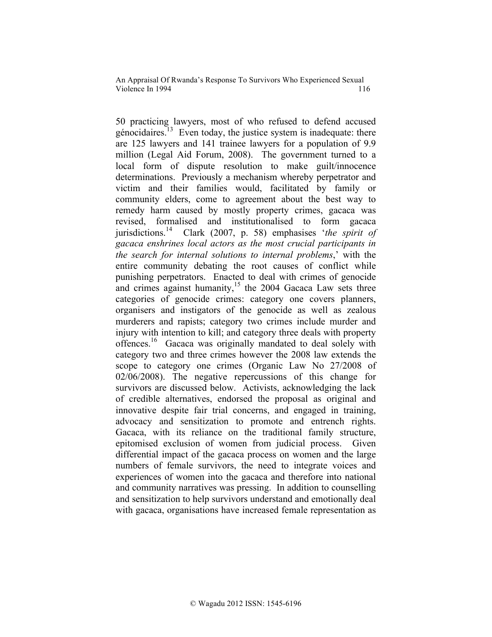50 practicing lawyers, most of who refused to defend accused génocidaires.<sup>13</sup> Even today, the justice system is inadequate: there are 125 lawyers and 141 trainee lawyers for a population of 9.9 million (Legal Aid Forum, 2008). The government turned to a local form of dispute resolution to make guilt/innocence determinations. Previously a mechanism whereby perpetrator and victim and their families would, facilitated by family or community elders, come to agreement about the best way to remedy harm caused by mostly property crimes, gacaca was revised, formalised and institutionalised to form gacaca jurisdictions.14 Clark (2007, p. 58) emphasises '*the spirit of gacaca enshrines local actors as the most crucial participants in the search for internal solutions to internal problems*,' with the entire community debating the root causes of conflict while punishing perpetrators. Enacted to deal with crimes of genocide and crimes against humanity, $15$  the 2004 Gacaca Law sets three categories of genocide crimes: category one covers planners, organisers and instigators of the genocide as well as zealous murderers and rapists; category two crimes include murder and injury with intention to kill; and category three deals with property offences.<sup>16</sup> Gacaca was originally mandated to deal solely with category two and three crimes however the 2008 law extends the scope to category one crimes (Organic Law No 27/2008 of 02/06/2008). The negative repercussions of this change for survivors are discussed below. Activists, acknowledging the lack of credible alternatives, endorsed the proposal as original and innovative despite fair trial concerns, and engaged in training, advocacy and sensitization to promote and entrench rights. Gacaca, with its reliance on the traditional family structure, epitomised exclusion of women from judicial process. Given differential impact of the gacaca process on women and the large numbers of female survivors, the need to integrate voices and experiences of women into the gacaca and therefore into national and community narratives was pressing. In addition to counselling and sensitization to help survivors understand and emotionally deal with gacaca, organisations have increased female representation as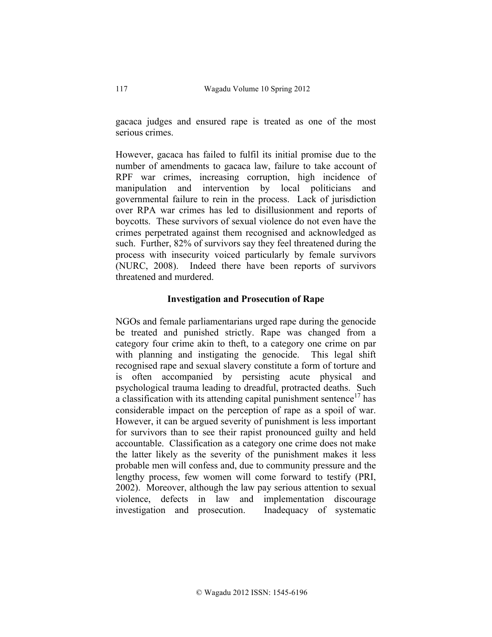gacaca judges and ensured rape is treated as one of the most serious crimes.

However, gacaca has failed to fulfil its initial promise due to the number of amendments to gacaca law, failure to take account of RPF war crimes, increasing corruption, high incidence of manipulation and intervention by local politicians and governmental failure to rein in the process. Lack of jurisdiction over RPA war crimes has led to disillusionment and reports of boycotts. These survivors of sexual violence do not even have the crimes perpetrated against them recognised and acknowledged as such. Further, 82% of survivors say they feel threatened during the process with insecurity voiced particularly by female survivors (NURC, 2008). Indeed there have been reports of survivors threatened and murdered.

## **Investigation and Prosecution of Rape**

NGOs and female parliamentarians urged rape during the genocide be treated and punished strictly. Rape was changed from a category four crime akin to theft, to a category one crime on par with planning and instigating the genocide. This legal shift recognised rape and sexual slavery constitute a form of torture and is often accompanied by persisting acute physical and psychological trauma leading to dreadful, protracted deaths. Such a classification with its attending capital punishment sentence<sup>17</sup> has considerable impact on the perception of rape as a spoil of war. However, it can be argued severity of punishment is less important for survivors than to see their rapist pronounced guilty and held accountable. Classification as a category one crime does not make the latter likely as the severity of the punishment makes it less probable men will confess and, due to community pressure and the lengthy process, few women will come forward to testify (PRI, 2002). Moreover, although the law pay serious attention to sexual violence, defects in law and implementation discourage investigation and prosecution. Inadequacy of systematic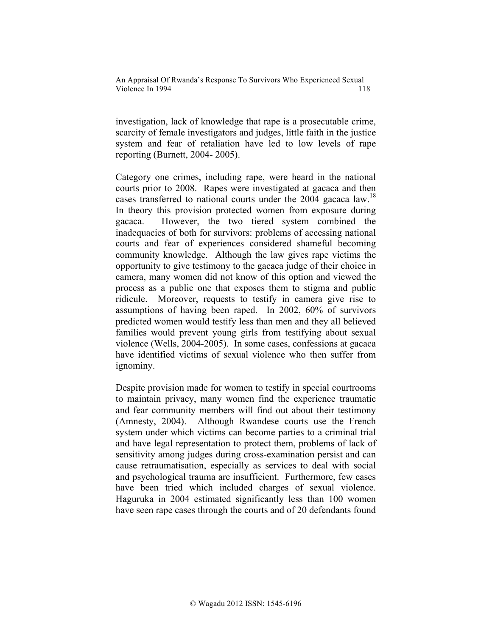investigation, lack of knowledge that rape is a prosecutable crime, scarcity of female investigators and judges, little faith in the justice system and fear of retaliation have led to low levels of rape reporting (Burnett, 2004- 2005).

Category one crimes, including rape, were heard in the national courts prior to 2008. Rapes were investigated at gacaca and then cases transferred to national courts under the  $2004$  gacaca law.<sup>18</sup> In theory this provision protected women from exposure during gacaca. However, the two tiered system combined the inadequacies of both for survivors: problems of accessing national courts and fear of experiences considered shameful becoming community knowledge. Although the law gives rape victims the opportunity to give testimony to the gacaca judge of their choice in camera, many women did not know of this option and viewed the process as a public one that exposes them to stigma and public ridicule. Moreover, requests to testify in camera give rise to assumptions of having been raped. In 2002, 60% of survivors predicted women would testify less than men and they all believed families would prevent young girls from testifying about sexual violence (Wells, 2004-2005). In some cases, confessions at gacaca have identified victims of sexual violence who then suffer from ignominy.

Despite provision made for women to testify in special courtrooms to maintain privacy, many women find the experience traumatic and fear community members will find out about their testimony (Amnesty, 2004). Although Rwandese courts use the French system under which victims can become parties to a criminal trial and have legal representation to protect them, problems of lack of sensitivity among judges during cross-examination persist and can cause retraumatisation, especially as services to deal with social and psychological trauma are insufficient. Furthermore, few cases have been tried which included charges of sexual violence. Haguruka in 2004 estimated significantly less than 100 women have seen rape cases through the courts and of 20 defendants found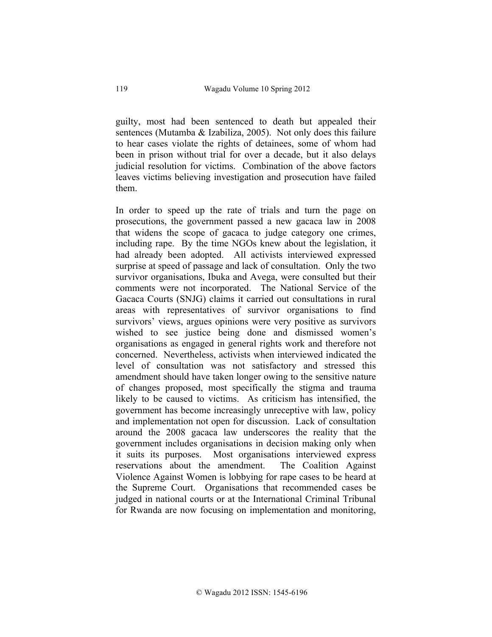guilty, most had been sentenced to death but appealed their sentences (Mutamba & Izabiliza, 2005). Not only does this failure to hear cases violate the rights of detainees, some of whom had been in prison without trial for over a decade, but it also delays judicial resolution for victims. Combination of the above factors leaves victims believing investigation and prosecution have failed them.

In order to speed up the rate of trials and turn the page on prosecutions, the government passed a new gacaca law in 2008 that widens the scope of gacaca to judge category one crimes, including rape. By the time NGOs knew about the legislation, it had already been adopted. All activists interviewed expressed surprise at speed of passage and lack of consultation. Only the two survivor organisations, Ibuka and Avega, were consulted but their comments were not incorporated. The National Service of the Gacaca Courts (SNJG) claims it carried out consultations in rural areas with representatives of survivor organisations to find survivors' views, argues opinions were very positive as survivors wished to see justice being done and dismissed women's organisations as engaged in general rights work and therefore not concerned. Nevertheless, activists when interviewed indicated the level of consultation was not satisfactory and stressed this amendment should have taken longer owing to the sensitive nature of changes proposed, most specifically the stigma and trauma likely to be caused to victims. As criticism has intensified, the government has become increasingly unreceptive with law, policy and implementation not open for discussion. Lack of consultation around the 2008 gacaca law underscores the reality that the government includes organisations in decision making only when it suits its purposes. Most organisations interviewed express reservations about the amendment. The Coalition Against Violence Against Women is lobbying for rape cases to be heard at the Supreme Court. Organisations that recommended cases be judged in national courts or at the International Criminal Tribunal for Rwanda are now focusing on implementation and monitoring,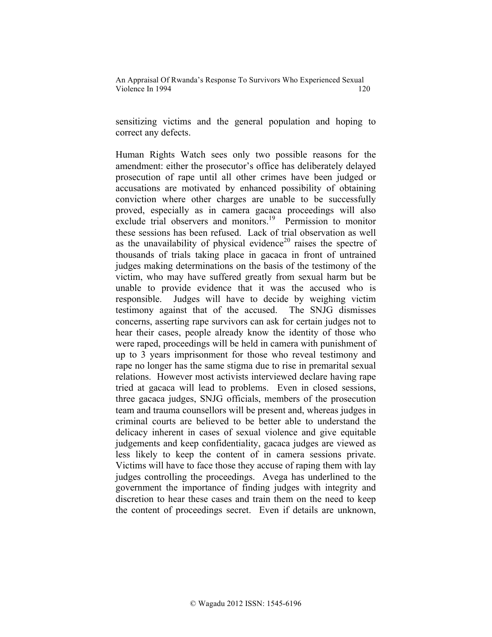sensitizing victims and the general population and hoping to correct any defects.

Human Rights Watch sees only two possible reasons for the amendment: either the prosecutor's office has deliberately delayed prosecution of rape until all other crimes have been judged or accusations are motivated by enhanced possibility of obtaining conviction where other charges are unable to be successfully proved, especially as in camera gacaca proceedings will also exclude trial observers and monitors.<sup>19</sup> Permission to monitor these sessions has been refused. Lack of trial observation as well as the unavailability of physical evidence<sup>20</sup> raises the spectre of thousands of trials taking place in gacaca in front of untrained judges making determinations on the basis of the testimony of the victim, who may have suffered greatly from sexual harm but be unable to provide evidence that it was the accused who is responsible. Judges will have to decide by weighing victim testimony against that of the accused. The SNJG dismisses concerns, asserting rape survivors can ask for certain judges not to hear their cases, people already know the identity of those who were raped, proceedings will be held in camera with punishment of up to 3 years imprisonment for those who reveal testimony and rape no longer has the same stigma due to rise in premarital sexual relations. However most activists interviewed declare having rape tried at gacaca will lead to problems. Even in closed sessions, three gacaca judges, SNJG officials, members of the prosecution team and trauma counsellors will be present and, whereas judges in criminal courts are believed to be better able to understand the delicacy inherent in cases of sexual violence and give equitable judgements and keep confidentiality, gacaca judges are viewed as less likely to keep the content of in camera sessions private. Victims will have to face those they accuse of raping them with lay judges controlling the proceedings. Avega has underlined to the government the importance of finding judges with integrity and discretion to hear these cases and train them on the need to keep the content of proceedings secret. Even if details are unknown,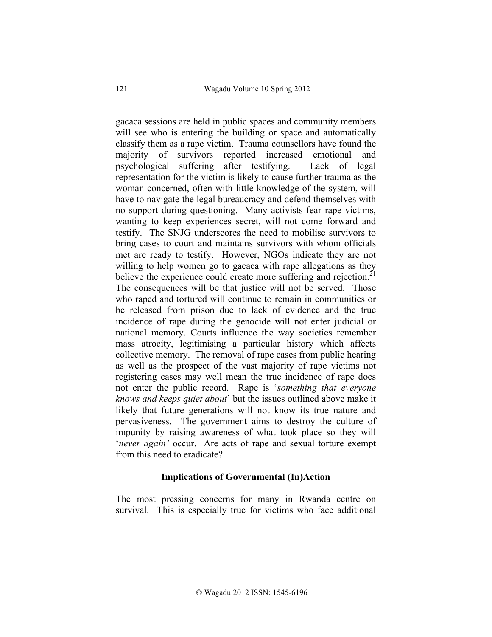gacaca sessions are held in public spaces and community members will see who is entering the building or space and automatically classify them as a rape victim. Trauma counsellors have found the majority of survivors reported increased emotional and psychological suffering after testifying. Lack of legal representation for the victim is likely to cause further trauma as the woman concerned, often with little knowledge of the system, will have to navigate the legal bureaucracy and defend themselves with no support during questioning. Many activists fear rape victims, wanting to keep experiences secret, will not come forward and testify. The SNJG underscores the need to mobilise survivors to bring cases to court and maintains survivors with whom officials met are ready to testify. However, NGOs indicate they are not willing to help women go to gacaca with rape allegations as they believe the experience could create more suffering and rejection.<sup>21</sup> The consequences will be that justice will not be served. Those who raped and tortured will continue to remain in communities or be released from prison due to lack of evidence and the true incidence of rape during the genocide will not enter judicial or national memory. Courts influence the way societies remember mass atrocity, legitimising a particular history which affects collective memory. The removal of rape cases from public hearing as well as the prospect of the vast majority of rape victims not registering cases may well mean the true incidence of rape does not enter the public record. Rape is '*something that everyone knows and keeps quiet about*' but the issues outlined above make it likely that future generations will not know its true nature and pervasiveness. The government aims to destroy the culture of impunity by raising awareness of what took place so they will '*never again'* occur. Are acts of rape and sexual torture exempt from this need to eradicate?

### **Implications of Governmental (In)Action**

The most pressing concerns for many in Rwanda centre on survival. This is especially true for victims who face additional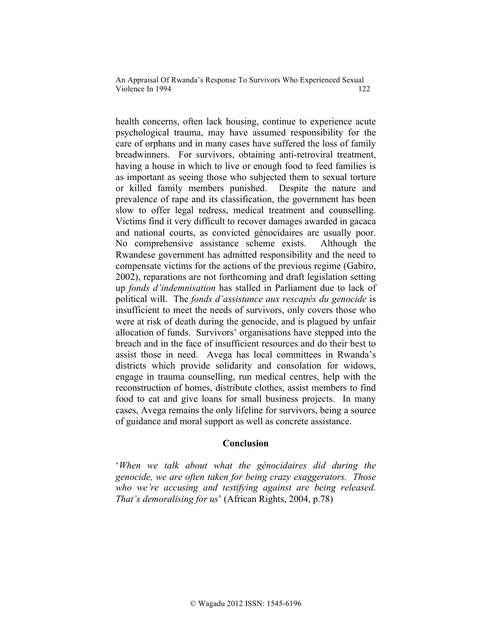health concerns, often lack housing, continue to experience acute psychological trauma, may have assumed responsibility for the care of orphans and in many cases have suffered the loss of family breadwinners. For survivors, obtaining anti-retroviral treatment, having a house in which to live or enough food to feed families is as important as seeing those who subjected them to sexual torture or killed family members punished. Despite the nature and prevalence of rape and its classification, the government has been slow to offer legal redress, medical treatment and counselling. Victims find it very difficult to recover damages awarded in gacaca and national courts, as convicted génocidaires are usually poor. No comprehensive assistance scheme exists. Although the Rwandese government has admitted responsibility and the need to compensate victims for the actions of the previous regime (Gabiro, 2002), reparations are not forthcoming and draft legislation setting up *fonds d'indemnisation* has stalled in Parliament due to lack of political will. The *fonds d'assistance aux rescapés du genocide* is insufficient to meet the needs of survivors, only covers those who were at risk of death during the genocide, and is plagued by unfair allocation of funds. Survivors' organisations have stepped into the breach and in the face of insufficient resources and do their best to assist those in need. Avega has local committees in Rwanda's districts which provide solidarity and consolation for widows, engage in trauma counselling, run medical centres, help with the reconstruction of homes, distribute clothes, assist members to find food to eat and give loans for small business projects. In many cases, Avega remains the only lifeline for survivors, being a source of guidance and moral support as well as concrete assistance.

### **Conclusion**

'*When we talk about what the génocidaires did during the genocide, we are often taken for being crazy exaggerators. Those who we're accusing and testifying against are being released. That's demoralising for us*' (African Rights, 2004, p.78)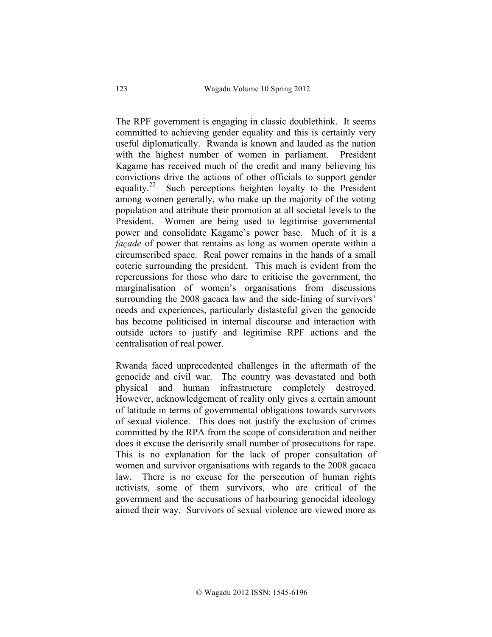The RPF government is engaging in classic doublethink. It seems committed to achieving gender equality and this is certainly very useful diplomatically. Rwanda is known and lauded as the nation with the highest number of women in parliament. President Kagame has received much of the credit and many believing his convictions drive the actions of other officials to support gender equality.<sup>22</sup> Such perceptions heighten loyalty to the President among women generally, who make up the majority of the voting population and attribute their promotion at all societal levels to the President. Women are being used to legitimise governmental power and consolidate Kagame's power base. Much of it is a *façade* of power that remains as long as women operate within a circumscribed space. Real power remains in the hands of a small coterie surrounding the president. This much is evident from the repercussions for those who dare to criticise the government, the marginalisation of women's organisations from discussions surrounding the 2008 gacaca law and the side-lining of survivors' needs and experiences, particularly distasteful given the genocide has become politicised in internal discourse and interaction with outside actors to justify and legitimise RPF actions and the centralisation of real power.

Rwanda faced unprecedented challenges in the aftermath of the genocide and civil war. The country was devastated and both physical and human infrastructure completely destroyed. However, acknowledgement of reality only gives a certain amount of latitude in terms of governmental obligations towards survivors of sexual violence. This does not justify the exclusion of crimes committed by the RPA from the scope of consideration and neither does it excuse the derisorily small number of prosecutions for rape. This is no explanation for the lack of proper consultation of women and survivor organisations with regards to the 2008 gacaca law. There is no excuse for the persecution of human rights activists, some of them survivors, who are critical of the government and the accusations of harbouring genocidal ideology aimed their way. Survivors of sexual violence are viewed more as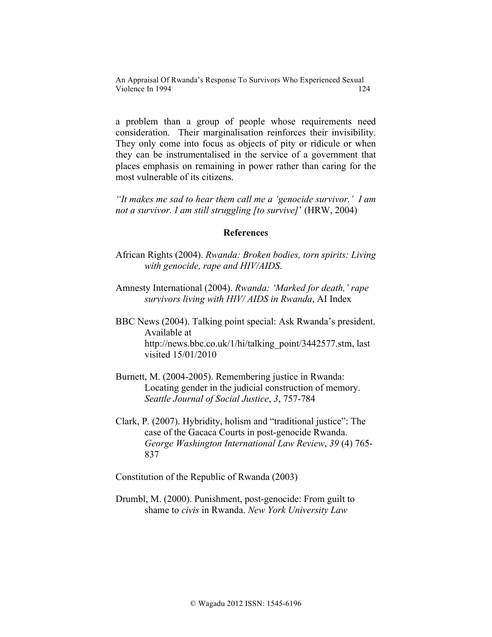a problem than a group of people whose requirements need consideration. Their marginalisation reinforces their invisibility. They only come into focus as objects of pity or ridicule or when they can be instrumentalised in the service of a government that places emphasis on remaining in power rather than caring for the most vulnerable of its citizens.

*"It makes me sad to hear them call me a 'genocide survivor.' I am not a survivor. I am still struggling [to survive]*' (HRW, 2004)

#### **References**

- African Rights (2004). *Rwanda: Broken bodies, torn spirits: Living with genocide, rape and HIV/AIDS*.
- Amnesty International (2004). *Rwanda: 'Marked for death,' rape survivors living with HIV/ AIDS in Rwanda*, AI Index
- BBC News (2004). Talking point special: Ask Rwanda's president. Available at http://news.bbc.co.uk/1/hi/talking\_point/3442577.stm, last visited 15/01/2010
- Burnett, M. (2004-2005). Remembering justice in Rwanda: Locating gender in the judicial construction of memory. *Seattle Journal of Social Justice*, *3*, 757-784
- Clark, P. (2007). Hybridity, holism and "traditional justice": The case of the Gacaca Courts in post-genocide Rwanda. *George Washington International Law Review*, *39* (4) 765- 837

Constitution of the Republic of Rwanda (2003)

Drumbl, M. (2000). Punishment, post-genocide: From guilt to shame to *civis* in Rwanda. *New York University Law*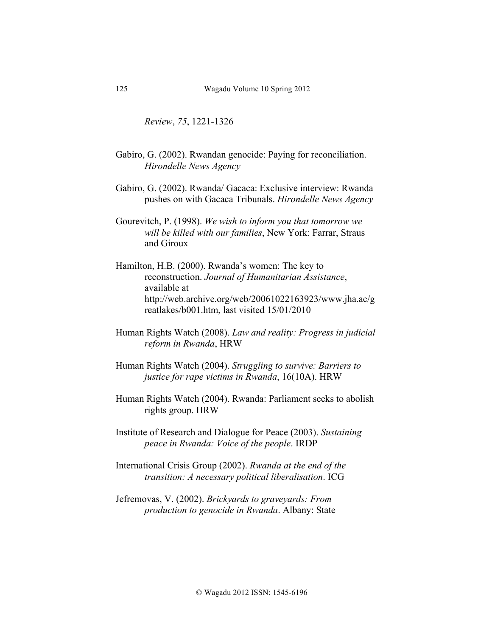*Review*, *75*, 1221-1326

- Gabiro, G. (2002). Rwandan genocide: Paying for reconciliation. *Hirondelle News Agency*
- Gabiro, G. (2002). Rwanda/ Gacaca: Exclusive interview: Rwanda pushes on with Gacaca Tribunals. *Hirondelle News Agency*
- Gourevitch, P. (1998). *We wish to inform you that tomorrow we will be killed with our families*, New York: Farrar, Straus and Giroux
- Hamilton, H.B. (2000). Rwanda's women: The key to reconstruction. *Journal of Humanitarian Assistance*, available at http://web.archive.org/web/20061022163923/www.jha.ac/g reatlakes/b001.htm, last visited 15/01/2010
- Human Rights Watch (2008). *Law and reality: Progress in judicial reform in Rwanda*, HRW
- Human Rights Watch (2004). *Struggling to survive: Barriers to justice for rape victims in Rwanda*, 16(10A). HRW
- Human Rights Watch (2004). Rwanda: Parliament seeks to abolish rights group. HRW

Institute of Research and Dialogue for Peace (2003). *Sustaining peace in Rwanda: Voice of the people*. IRDP

International Crisis Group (2002). *Rwanda at the end of the transition: A necessary political liberalisation*. ICG

Jefremovas, V. (2002). *Brickyards to graveyards: From production to genocide in Rwanda*. Albany: State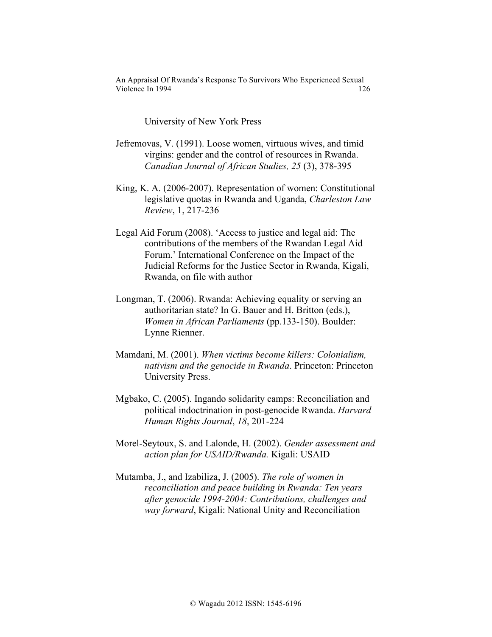University of New York Press

- Jefremovas, V. (1991). Loose women, virtuous wives, and timid virgins: gender and the control of resources in Rwanda. *Canadian Journal of African Studies, 25* (3), 378-395
- King, K. A. (2006-2007). Representation of women: Constitutional legislative quotas in Rwanda and Uganda, *Charleston Law Review*, 1, 217-236
- Legal Aid Forum (2008). 'Access to justice and legal aid: The contributions of the members of the Rwandan Legal Aid Forum.' International Conference on the Impact of the Judicial Reforms for the Justice Sector in Rwanda, Kigali, Rwanda, on file with author
- Longman, T. (2006). Rwanda: Achieving equality or serving an authoritarian state? In G. Bauer and H. Britton (eds.), *Women in African Parliaments* (pp.133-150). Boulder: Lynne Rienner.
- Mamdani, M. (2001). *When victims become killers: Colonialism, nativism and the genocide in Rwanda*. Princeton: Princeton University Press.
- Mgbako, C. (2005). Ingando solidarity camps: Reconciliation and political indoctrination in post-genocide Rwanda. *Harvard Human Rights Journal*, *18*, 201-224
- Morel-Seytoux, S. and Lalonde, H. (2002). *Gender assessment and action plan for USAID/Rwanda.* Kigali: USAID
- Mutamba, J., and Izabiliza, J. (2005). *The role of women in reconciliation and peace building in Rwanda: Ten years after genocide 1994-2004: Contributions, challenges and way forward*, Kigali: National Unity and Reconciliation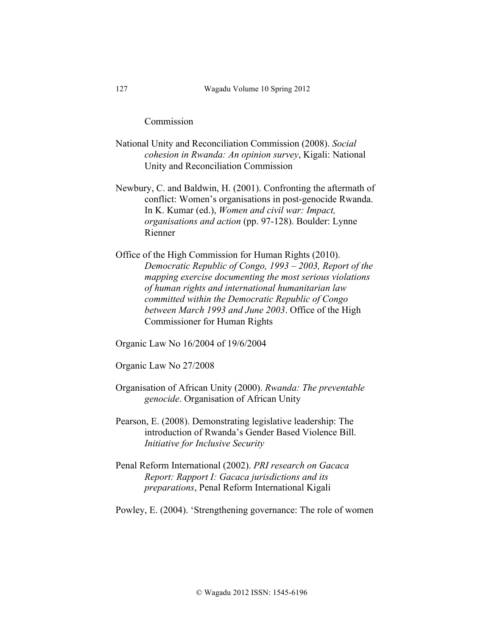Commission

- National Unity and Reconciliation Commission (2008). *Social cohesion in Rwanda: An opinion survey*, Kigali: National Unity and Reconciliation Commission
- Newbury, C. and Baldwin, H. (2001). Confronting the aftermath of conflict: Women's organisations in post-genocide Rwanda. In K. Kumar (ed.), *Women and civil war: Impact, organisations and action* (pp. 97-128). Boulder: Lynne Rienner
- Office of the High Commission for Human Rights (2010). *Democratic Republic of Congo, 1993 – 2003, Report of the mapping exercise documenting the most serious violations of human rights and international humanitarian law committed within the Democratic Republic of Congo between March 1993 and June 2003*. Office of the High Commissioner for Human Rights
- Organic Law No 16/2004 of 19/6/2004

Organic Law No 27/2008

- Organisation of African Unity (2000). *Rwanda: The preventable genocide*. Organisation of African Unity
- Pearson, E. (2008). Demonstrating legislative leadership: The introduction of Rwanda's Gender Based Violence Bill. *Initiative for Inclusive Security*
- Penal Reform International (2002). *PRI research on Gacaca Report: Rapport I: Gacaca jurisdictions and its preparations*, Penal Reform International Kigali

Powley, E. (2004). 'Strengthening governance: The role of women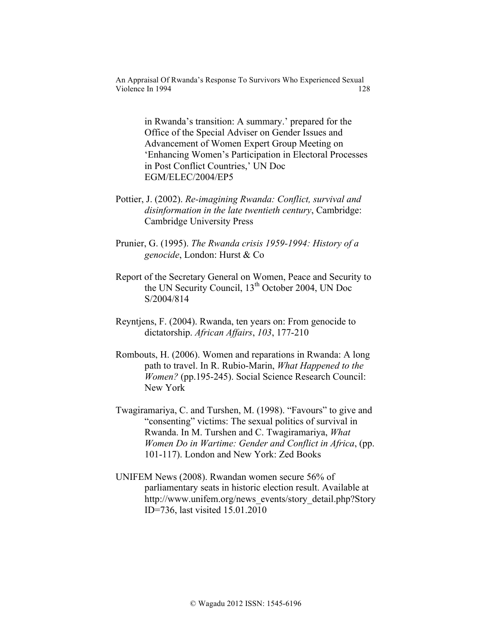> in Rwanda's transition: A summary.' prepared for the Office of the Special Adviser on Gender Issues and Advancement of Women Expert Group Meeting on 'Enhancing Women's Participation in Electoral Processes in Post Conflict Countries,' UN Doc EGM/ELEC/2004/EP5

- Pottier, J. (2002). *Re-imagining Rwanda: Conflict, survival and disinformation in the late twentieth century*, Cambridge: Cambridge University Press
- Prunier, G. (1995). *The Rwanda crisis 1959-1994: History of a genocide*, London: Hurst & Co
- Report of the Secretary General on Women, Peace and Security to the UN Security Council,  $13<sup>th</sup>$  October 2004, UN Doc S/2004/814
- Reyntjens, F. (2004). Rwanda, ten years on: From genocide to dictatorship. *African Affairs*, *103*, 177-210
- Rombouts, H. (2006). Women and reparations in Rwanda: A long path to travel. In R. Rubio-Marin, *What Happened to the Women?* (pp.195-245). Social Science Research Council: New York
- Twagiramariya, C. and Turshen, M. (1998). "Favours" to give and "consenting" victims: The sexual politics of survival in Rwanda. In M. Turshen and C. Twagiramariya, *What Women Do in Wartime: Gender and Conflict in Africa*, (pp. 101-117). London and New York: Zed Books
- UNIFEM News (2008). Rwandan women secure 56% of parliamentary seats in historic election result. Available at http://www.unifem.org/news\_events/story\_detail.php?Story ID=736, last visited 15.01.2010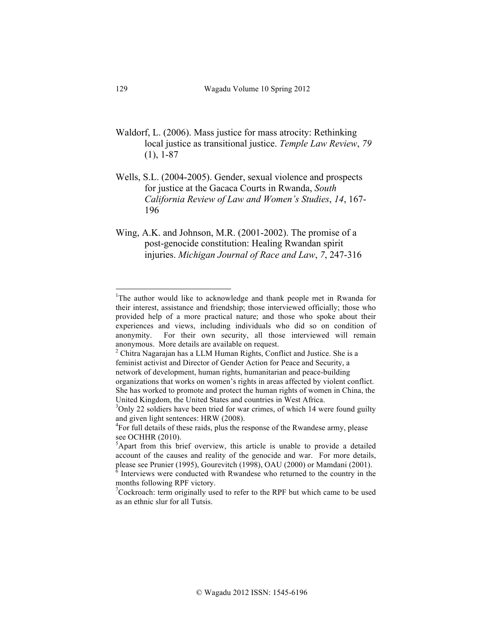- Waldorf, L. (2006). Mass justice for mass atrocity: Rethinking local justice as transitional justice. *Temple Law Review*, *79* (1), 1-87
- Wells, S.L. (2004-2005). Gender, sexual violence and prospects for justice at the Gacaca Courts in Rwanda, *South California Review of Law and Women's Studies*, *14*, 167- 196
- Wing, A.K. and Johnson, M.R. (2001-2002). The promise of a post-genocide constitution: Healing Rwandan spirit injuries. *Michigan Journal of Race and Law*, *7*, 247-316

 $\frac{1}{1}$ <sup>1</sup>The author would like to acknowledge and thank people met in Rwanda for their interest, assistance and friendship; those interviewed officially; those who provided help of a more practical nature; and those who spoke about their experiences and views, including individuals who did so on condition of anonymity. For their own security, all those interviewed will remain anonymous. More details are available on request.

 $2$  Chitra Nagarajan has a LLM Human Rights, Conflict and Justice. She is a feminist activist and Director of Gender Action for Peace and Security, a network of development, human rights, humanitarian and peace-building organizations that works on women's rights in areas affected by violent conflict. She has worked to promote and protect the human rights of women in China, the United Kingdom, the United States and countries in West Africa.

<sup>&</sup>lt;sup>3</sup>Only 22 soldiers have been tried for war crimes, of which 14 were found guilty and given light sentences: HRW (2008).

<sup>&</sup>lt;sup>4</sup>For full details of these raids, plus the response of the Rwandese army, please see OCHHR (2010).

<sup>&</sup>lt;sup>5</sup>Apart from this brief overview, this article is unable to provide a detailed account of the causes and reality of the genocide and war. For more details, please see Prunier (1995), Gourevitch (1998), OAU (2000) or Mamdani (2001).

<sup>&</sup>lt;sup>6</sup> Interviews were conducted with Rwandese who returned to the country in the months following RPF victory.

 $7C$ ockroach: term originally used to refer to the RPF but which came to be used as an ethnic slur for all Tutsis.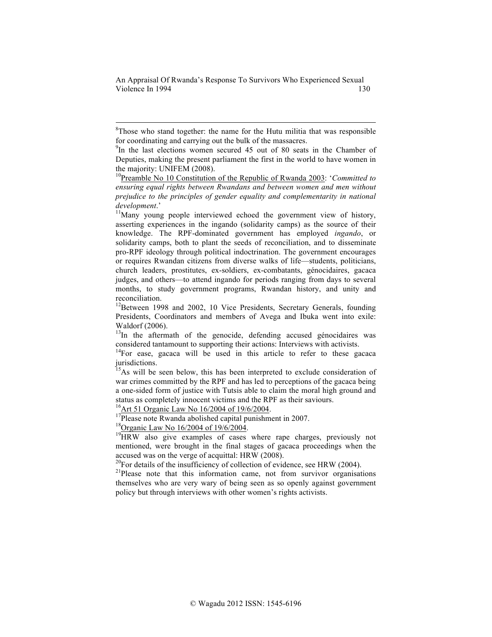8  ${}^{8}$ Those who stand together: the name for the Hutu militia that was responsible for coordinating and carrying out the bulk of the massacres.

<sup>9</sup>In the last elections women secured 45 out of 80 seats in the Chamber of Deputies, making the present parliament the first in the world to have women in the majority: UNIFEM (2008).

10Preamble No 10 Constitution of the Republic of Rwanda 2003: '*Committed to ensuring equal rights between Rwandans and between women and men without prejudice to the principles of gender equality and complementarity in national development*.' <sup>11</sup>Many young people interviewed echoed the government view of history,

asserting experiences in the ingando (solidarity camps) as the source of their knowledge. The RPF-dominated government has employed *ingando*, or solidarity camps, both to plant the seeds of reconciliation, and to disseminate pro-RPF ideology through political indoctrination. The government encourages or requires Rwandan citizens from diverse walks of life—students, politicians, church leaders, prostitutes, ex-soldiers, ex-combatants, génocidaires, gacaca judges, and others—to attend ingando for periods ranging from days to several months, to study government programs, Rwandan history, and unity and reconciliation.

 $12$ Between 1998 and 2002, 10 Vice Presidents, Secretary Generals, founding Presidents, Coordinators and members of Avega and Ibuka went into exile: Waldorf (2006).

 $^{13}$ In the aftermath of the genocide, defending accused génocidaires was considered tantamount to supporting their actions: Interviews with activists. 14For ease, gacaca will be used in this article to refer to these gacaca

jurisdictions.

<sup>15</sup>As will be seen below, this has been interpreted to exclude consideration of war crimes committed by the RPF and has led to perceptions of the gacaca being a one-sided form of justice with Tutsis able to claim the moral high ground and status as completely innocent victims and the RPF as their saviours.

<sup>16</sup>Art 51 Organic Law No 16/2004 of 19/6/2004.<br><sup>17</sup>Please note Rwanda abolished capital punishment in 2007.<br><sup>18</sup>Organic Law No 16/2004 of 19/6/2004.<br><sup>19</sup>HRW also give examples of cases where rape charges, previously not mentioned, were brought in the final stages of gacaca proceedings when the accused was on the verge of acquittal: HRW (2008).<br><sup>20</sup>For details of the insufficiency of collection of evidence, see HRW (2004).

 $2^{1}$ Please note that this information came, not from survivor organisations themselves who are very wary of being seen as so openly against government policy but through interviews with other women's rights activists.